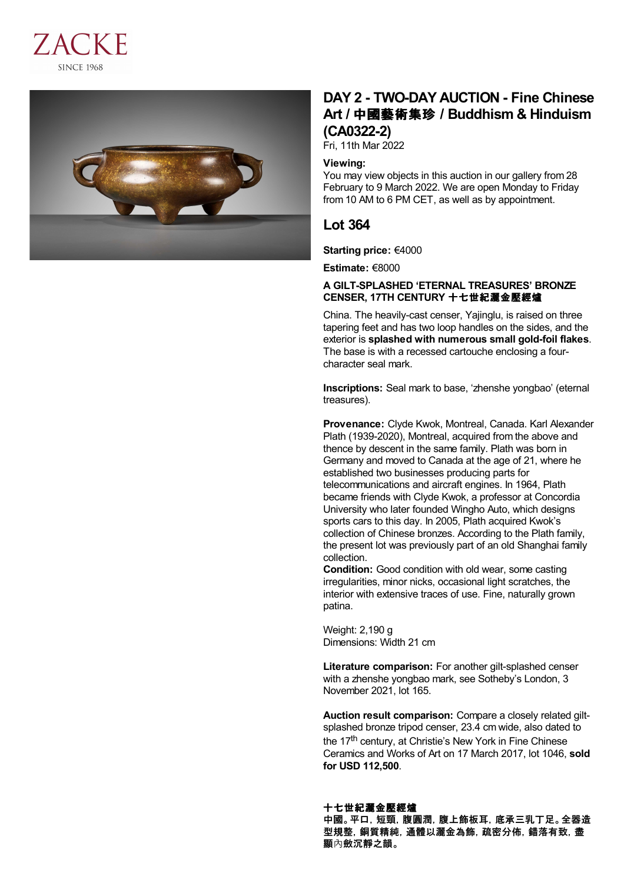



# **DAY 2 - TWO-DAY AUCTION - Fine Chinese Art /** 中國藝術集珍 **/ Buddhism & Hinduism (CA0322-2)**

Fri, 11th Mar 2022

#### **Viewing:**

You may view objects in this auction in our gallery from 28 February to 9 March 2022. We are open Monday to Friday from 10 AM to 6 PM CET, as well as by appointment.

# **Lot 364**

**Starting price:** €4000

**Estimate:** €8000

## **A GILT-SPLASHED 'ETERNAL TREASURES' BRONZE CENSER, 17TH CENTURY** 十七世紀灑金壓經爐

China. The heavily-cast censer, Yajinglu, is raised on three tapering feet and has two loop handles on the sides, and the exterior is **splashed with numerous small gold-foil flakes**. The base is with a recessed cartouche enclosing a fourcharacter seal mark.

**Inscriptions:** Seal mark to base, 'zhenshe yongbao' (eternal treasures).

**Provenance:** Clyde Kwok, Montreal, Canada. Karl Alexander Plath (1939-2020), Montreal, acquired from the above and thence by descent in the same family. Plath was born in Germany and moved to Canada at the age of 21, where he established two businesses producing parts for telecommunications and aircraft engines. In 1964, Plath became friends with Clyde Kwok, a professor at Concordia University who later founded Wingho Auto, which designs sports cars to this day. In 2005, Plath acquired Kwok's collection of Chinese bronzes. According to the Plath family, the present lot was previously part of an old Shanghai family collection.

**Condition:** Good condition with old wear, some casting irregularities, minor nicks, occasional light scratches, the interior with extensive traces of use. Fine, naturally grown patina.

Weight: 2,190 g Dimensions: Width 21 cm

**Literature comparison:** For another gilt-splashed censer with a zhenshe yongbao mark, see Sotheby's London, 3 November 2021, lot 165.

**Auction result comparison:** Compare a closely related giltsplashed bronze tripod censer, 23.4 cm wide, also dated to the 17<sup>th</sup> century, at Christie's New York in Fine Chinese Ceramics and Works of Art on 17 March 2017, lot 1046, **sold for USD 112,500**.

### 十七世紀灑金壓經爐 中國。平口,短頸,腹圓潤,腹上飾板耳,底承三乳丁足。全器造 型規整,銅質精純,通體以灑金為飾,疏密分佈,錯落有致,盡 顯內斂沉靜之韻。